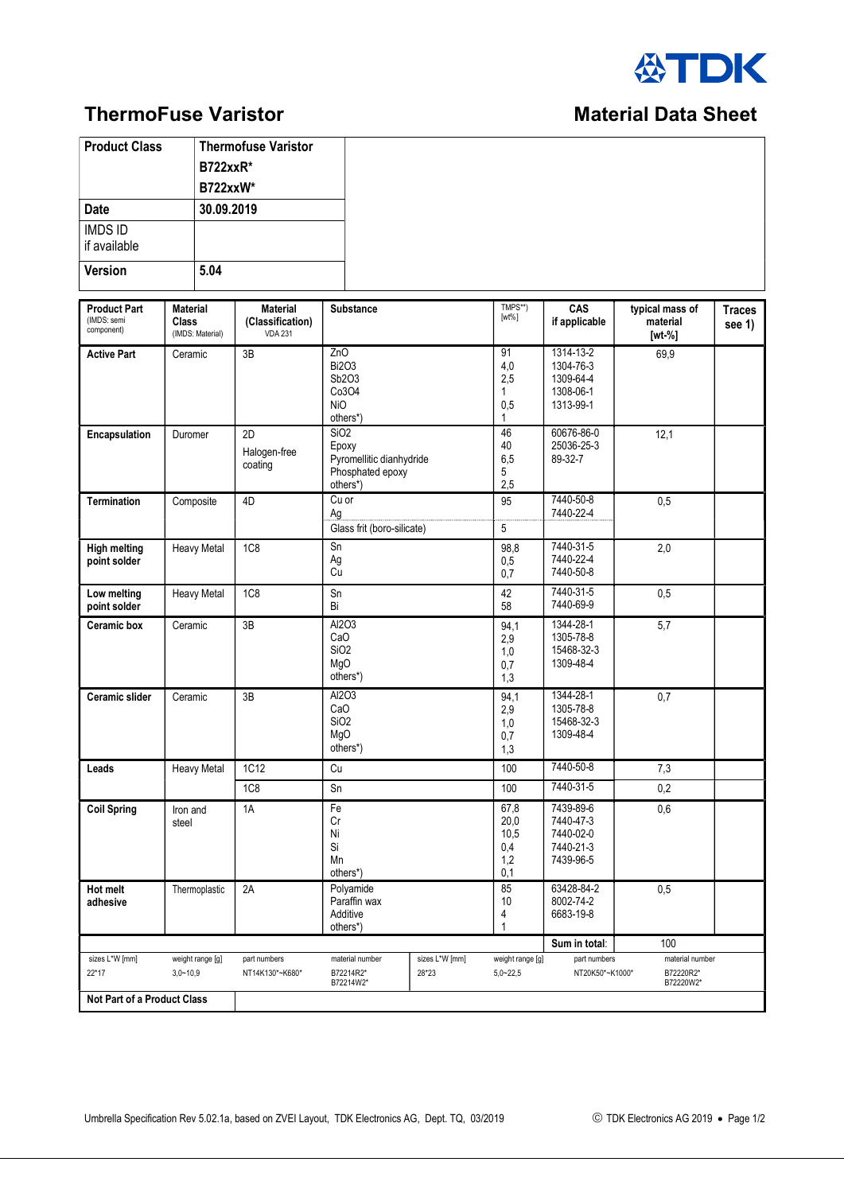

## **ThermoFuse Varistor Material Data Sheet** Material Data Sheet

## **Product Class** Thermofuse Varistor B722xxR\* B722xxW\* Date 30.09.2019 IMDS ID if available Version 5.04 Product Part  $(IMDS: sen$ component) Material Class (IMDS: Material) Material (Classification) VDA 231 Substance TMPS\*\* [wt%] CAS if applicable typical mass of material [wt-%] **Traces** see 1) Active Part Ceramic 3B 2nO Bi2O3 Sb2O3 Co3O4 NiO others\*) 91 4,0 2,5 1 0,5 1 1314-13-2 1304-76-3 1309-64-4 1308-06-1 1313-99-1 69,9 Encapsulation | Duromer | 2D Halogen-free coating SiO2 Epoxy Pyromellitic dianhydride Phosphated epoxy others\*) 46 40 6,5 5 2,5 60676-86-0 25036-25-3 89-32-7 12,1 Termination | Composite | 4D | Cu or Ag 95 7440-50-8 7440-22-4 0,5 Glass frit (boro-silicate) 5 High melting point solder Heavy Metal 1C8 | Sn Ag Cu 98,8  $0,5$  $0.7$ 7440-31-5 7440-22-4 7440-50-8 2,0 Low melting point solder Heavy Metal 1C8 Sn Bi 42 58 7440-31-5 7440-69-9  $\overline{0.5}$ Ceramic box Ceramic 3B Al2O3 CaO SiO2 MgO others\*) 94,1 2,9 1,0  $0.7$ 1,3 1344-28-1 1305-78-8 15468-32-3 1309-48-4 5,7 Ceramic slider Ceramic 3B Al2O3 CaO SiO2 MgO others\*) 94,1 2,9 1,0  $0,7$ 1,3 1344-28-1 1305-78-8 15468-32-3 1309-48-4 0,7 Leads | Heavy Metal | 1C12 | Cu 100 | 7440-50-8 | 7,3 1C8 | Sn 100 | 7440-31-5 | 0,2 Coil Spring | Iron and steel 1A Fe Cr Ni Si Mn others\*) 67,8 20,0 10,5  $0.\overline{4}$  $1.2$  $0,1$ 7439-89-6 7440-47-3 7440-02-0 7440-21-3 7439-96-5 0,6 Hot melt adhesive Thermoplastic 2A | Polyamide Paraffin wax Additive others\*) 85 10 4 1 63428-84-2 8002-74-2 6683-19-8 0,5  $\sim$  100  $\,$  Sum in total:  $\,$  100  $\,$ sizes L\*W [mm] 22\*17 weight range [g]  $3,0 - 10,9$ part numbers NT14K130\*~K680\* material number B72214R2\* B72214W2\* sizes L\*W [mm] 28\*23 weight range [g] 5,0~22,5 part numbers NT20K50\*~K1000\* material number B72220R2\* B72220W2\* Not Part of a Product Class